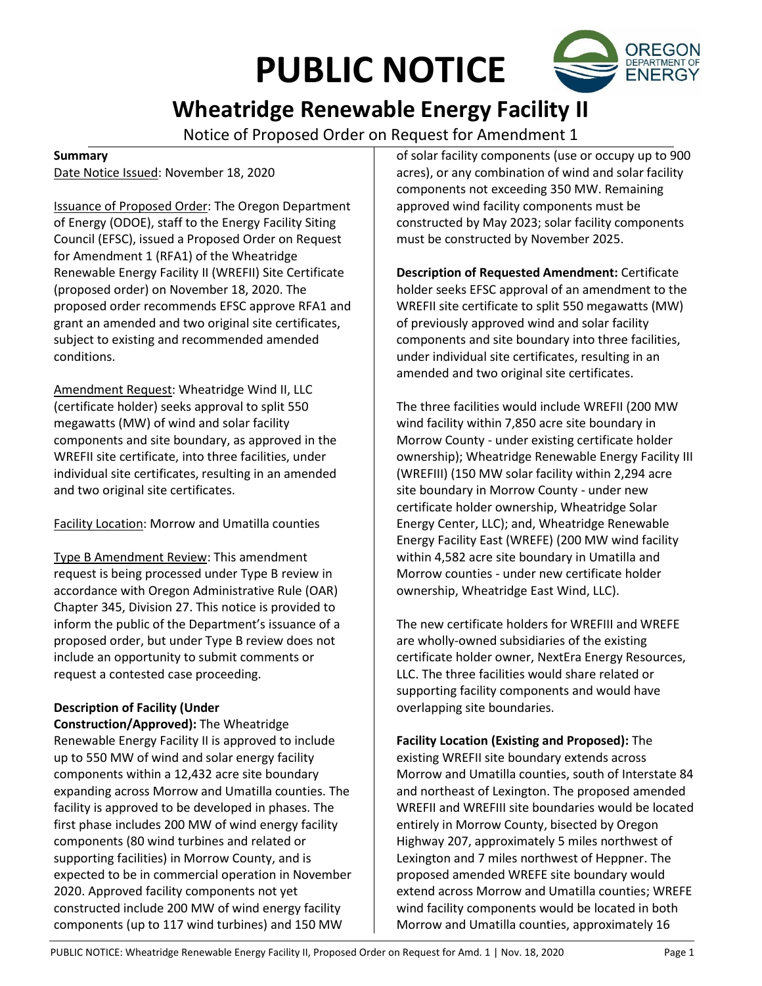# **PUBLIC NOTICE**



## **Wheatridge Renewable Energy Facility II**

Notice of Proposed Order on Request for Amendment 1

#### **Summary**

Date Notice Issued: November 18, 2020

Issuance of Proposed Order: The Oregon Department of Energy (ODOE), staff to the Energy Facility Siting Council (EFSC), issued a Proposed Order on Request for Amendment 1 (RFA1) of the Wheatridge Renewable Energy Facility II (WREFII) Site Certificate (proposed order) on November 18, 2020. The proposed order recommends EFSC approve RFA1 and grant an amended and two original site certificates, subject to existing and recommended amended conditions.

Amendment Request: Wheatridge Wind II, LLC (certificate holder) seeks approval to split 550 megawatts (MW) of wind and solar facility components and site boundary, as approved in the WREFII site certificate, into three facilities, under individual site certificates, resulting in an amended and two original site certificates.

Facility Location: Morrow and Umatilla counties

Type B Amendment Review: This amendment request is being processed under Type B review in accordance with Oregon Administrative Rule (OAR) Chapter 345, Division 27. This notice is provided to inform the public of the Department's issuance of a proposed order, but under Type B review does not include an opportunity to submit comments or request a contested case proceeding.

### **Description of Facility (Under**

**Construction/Approved):** The Wheatridge Renewable Energy Facility II is approved to include up to 550 MW of wind and solar energy facility components within a 12,432 acre site boundary expanding across Morrow and Umatilla counties. The facility is approved to be developed in phases. The first phase includes 200 MW of wind energy facility components (80 wind turbines and related or supporting facilities) in Morrow County, and is expected to be in commercial operation in November 2020. Approved facility components not yet constructed include 200 MW of wind energy facility components (up to 117 wind turbines) and 150 MW

of solar facility components (use or occupy up to 900 acres), or any combination of wind and solar facility components not exceeding 350 MW. Remaining approved wind facility components must be constructed by May 2023; solar facility components must be constructed by November 2025.

**Description of Requested Amendment:** Certificate holder seeks EFSC approval of an amendment to the WREFII site certificate to split 550 megawatts (MW) of previously approved wind and solar facility components and site boundary into three facilities, under individual site certificates, resulting in an amended and two original site certificates.

The three facilities would include WREFII (200 MW wind facility within 7,850 acre site boundary in Morrow County - under existing certificate holder ownership); Wheatridge Renewable Energy Facility III (WREFIII) (150 MW solar facility within 2,294 acre site boundary in Morrow County - under new certificate holder ownership, Wheatridge Solar Energy Center, LLC); and, Wheatridge Renewable Energy Facility East (WREFE) (200 MW wind facility within 4,582 acre site boundary in Umatilla and Morrow counties - under new certificate holder ownership, Wheatridge East Wind, LLC).

The new certificate holders for WREFIII and WREFE are wholly-owned subsidiaries of the existing certificate holder owner, NextEra Energy Resources, LLC. The three facilities would share related or supporting facility components and would have overlapping site boundaries.

**Facility Location (Existing and Proposed):** The existing WREFII site boundary extends across Morrow and Umatilla counties, south of Interstate 84 and northeast of Lexington. The proposed amended WREFII and WREFIII site boundaries would be located entirely in Morrow County, bisected by Oregon Highway 207, approximately 5 miles northwest of Lexington and 7 miles northwest of Heppner. The proposed amended WREFE site boundary would extend across Morrow and Umatilla counties; WREFE wind facility components would be located in both Morrow and Umatilla counties, approximately 16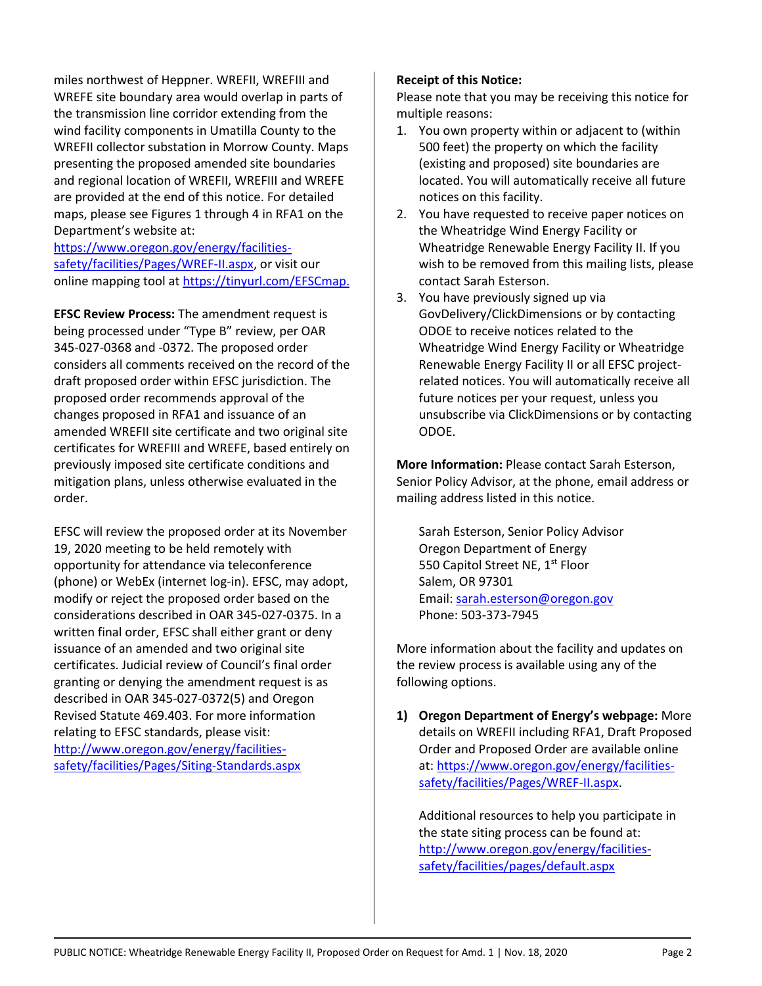miles northwest of Heppner. WREFII, WREFIII and WREFE site boundary area would overlap in parts of the transmission line corridor extending from the wind facility components in Umatilla County to the WREFII collector substation in Morrow County. Maps presenting the proposed amended site boundaries and regional location of WREFII, WREFIII and WREFE are provided at the end of this notice. For detailed maps, please see Figures 1 through 4 in RFA1 on the Department's website at:

[https://www.oregon.gov/energy/facilities](https://www.oregon.gov/energy/facilities-safety/facilities/Pages/WREF-II.aspx)[safety/facilities/Pages/WREF-II.aspx,](https://www.oregon.gov/energy/facilities-safety/facilities/Pages/WREF-II.aspx) or visit our online mapping tool at [https://tinyurl.com/EFSCmap.](https://tinyurl.com/EFSCmap)

**EFSC Review Process:** The amendment request is being processed under "Type B" review, per OAR 345-027-0368 and -0372. The proposed order considers all comments received on the record of the draft proposed order within EFSC jurisdiction. The proposed order recommends approval of the changes proposed in RFA1 and issuance of an amended WREFII site certificate and two original site certificates for WREFIII and WREFE, based entirely on previously imposed site certificate conditions and mitigation plans, unless otherwise evaluated in the order.

EFSC will review the proposed order at its November 19, 2020 meeting to be held remotely with opportunity for attendance via teleconference (phone) or WebEx (internet log-in). EFSC, may adopt, modify or reject the proposed order based on the considerations described in OAR 345-027-0375. In a written final order, EFSC shall either grant or deny issuance of an amended and two original site certificates. Judicial review of Council's final order granting or denying the amendment request is as described in OAR 345-027-0372(5) and Oregon Revised Statute 469.403. For more information relating to EFSC standards, please visit: [http://www.oregon.gov/energy/facilities](http://www.oregon.gov/energy/facilities-safety/facilities/Pages/Siting-Standards.aspx)[safety/facilities/Pages/Siting-Standards.aspx](http://www.oregon.gov/energy/facilities-safety/facilities/Pages/Siting-Standards.aspx)

#### **Receipt of this Notice:**

Please note that you may be receiving this notice for multiple reasons:

- 1. You own property within or adjacent to (within 500 feet) the property on which the facility (existing and proposed) site boundaries are located. You will automatically receive all future notices on this facility.
- 2. You have requested to receive paper notices on the Wheatridge Wind Energy Facility or Wheatridge Renewable Energy Facility II. If you wish to be removed from this mailing lists, please contact Sarah Esterson.
- 3. You have previously signed up via GovDelivery/ClickDimensions or by contacting ODOE to receive notices related to the Wheatridge Wind Energy Facility or Wheatridge Renewable Energy Facility II or all EFSC projectrelated notices. You will automatically receive all future notices per your request, unless you unsubscribe via ClickDimensions or by contacting ODOE.

**More Information:** Please contact Sarah Esterson, Senior Policy Advisor, at the phone, email address or mailing address listed in this notice.

Sarah Esterson, Senior Policy Advisor Oregon Department of Energy 550 Capitol Street NE, 1<sup>st</sup> Floor Salem, OR 97301 Email[: sarah.esterson@oregon.gov](mailto:sarah.esterson@oregon.gov) Phone: 503-373-7945

More information about the facility and updates on the review process is available using any of the following options.

**1) Oregon Department of Energy's webpage:** More details on WREFII including RFA1, Draft Proposed Order and Proposed Order are available online at: [https://www.oregon.gov/energy/facilities](https://www.oregon.gov/energy/facilities-safety/facilities/Pages/WREF-II.aspx)[safety/facilities/Pages/WREF-II.aspx.](https://www.oregon.gov/energy/facilities-safety/facilities/Pages/WREF-II.aspx)

Additional resources to help you participate in the state siting process can be found at: [http://www.oregon.gov/energy/facilities](http://www.oregon.gov/energy/facilities-safety/facilities/pages/default.aspx)[safety/facilities/pages/default.aspx](http://www.oregon.gov/energy/facilities-safety/facilities/pages/default.aspx)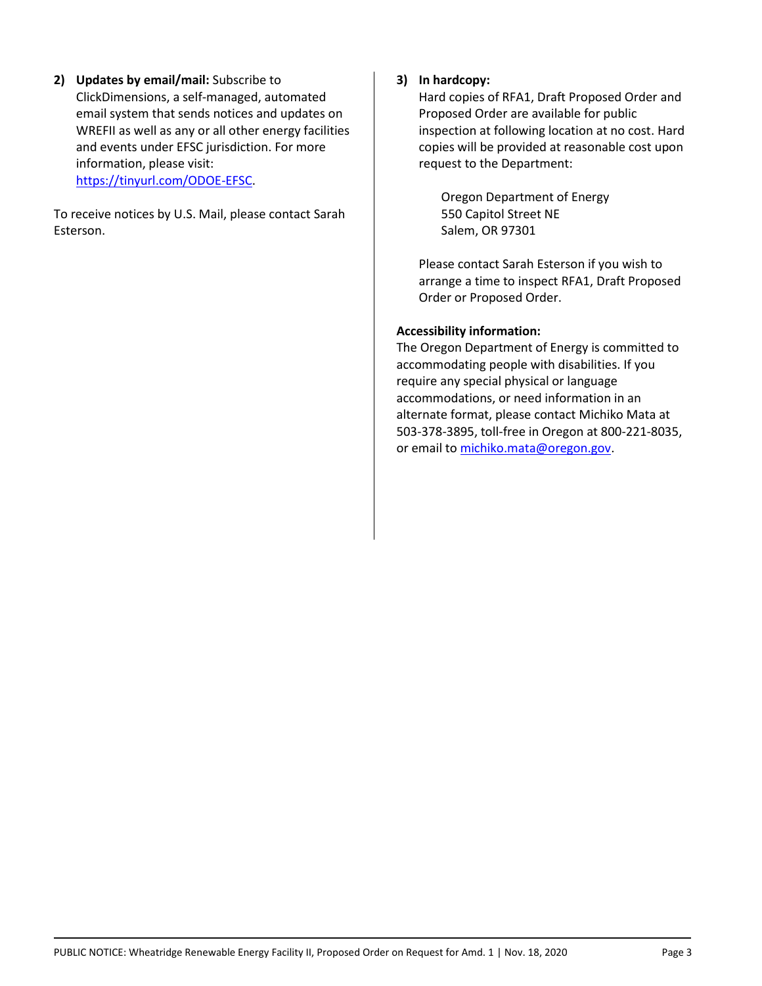**2) Updates by email/mail:** Subscribe to ClickDimensions, a self-managed, automated email system that sends notices and updates on WREFII as well as any or all other energy facilities and events under EFSC jurisdiction. For more information, please visit: [https://tinyurl.com/ODOE-EFSC.](https://tinyurl.com/ODOE-EFSC)

To receive notices by U.S. Mail, please contact Sarah Esterson.

#### **3) In hardcopy:**

Hard copies of RFA1, Draft Proposed Order and Proposed Order are available for public inspection at following location at no cost. Hard copies will be provided at reasonable cost upon request to the Department:

Oregon Department of Energy 550 Capitol Street NE Salem, OR 97301

Please contact Sarah Esterson if you wish to arrange a time to inspect RFA1, Draft Proposed Order or Proposed Order.

#### **Accessibility information:**

The Oregon Department of Energy is committed to accommodating people with disabilities. If you require any special physical or language accommodations, or need information in an alternate format, please contact Michiko Mata at 503-378-3895, toll-free in Oregon at 800-221-8035, or email to [michiko.mata@oregon.gov.](mailto:michiko.mata@oregon.gov)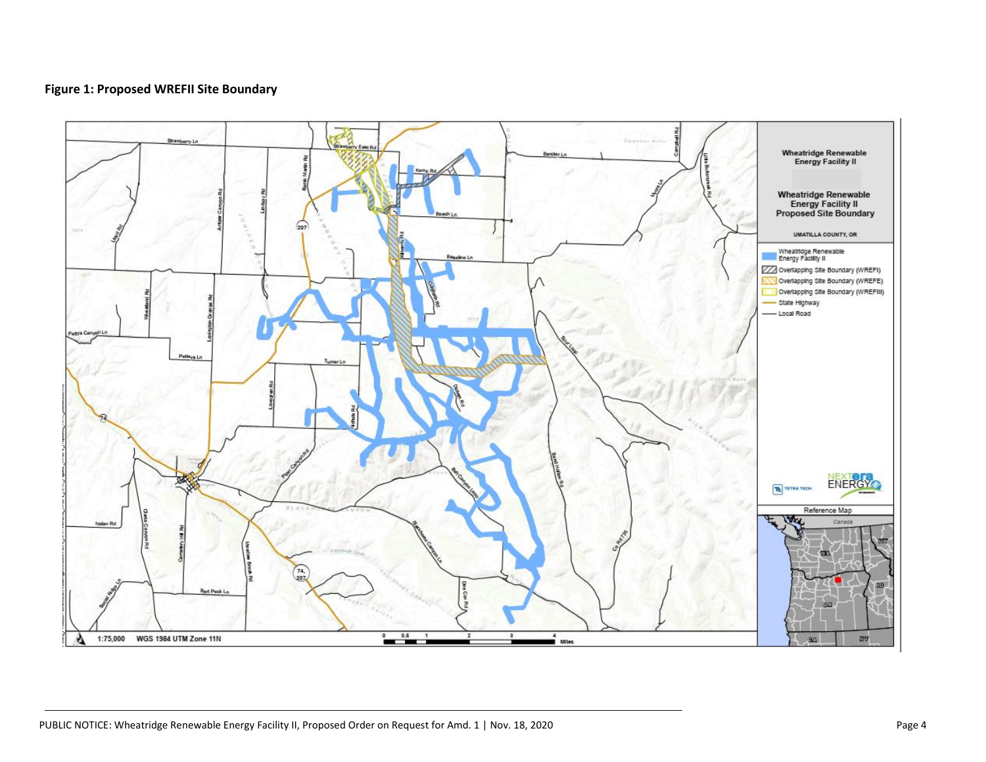#### **Figure 1: Proposed WREFII Site Boundary**

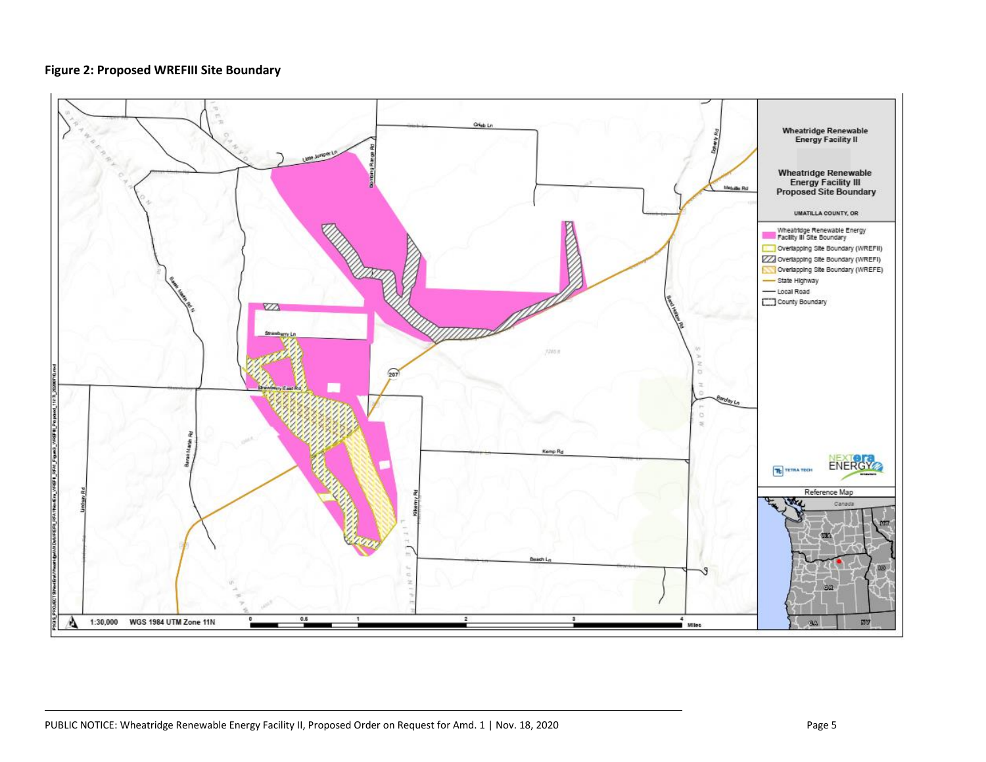